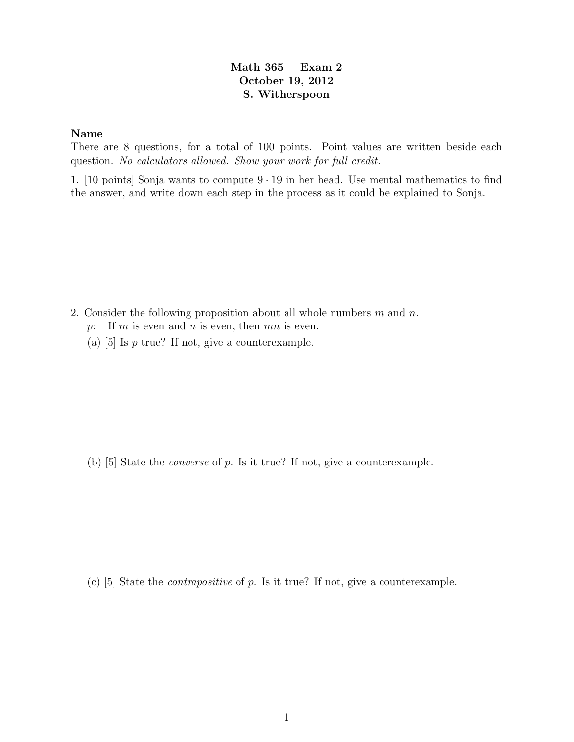## Math 365 Exam 2 October 19, 2012 S. Witherspoon

## Name

There are 8 questions, for a total of 100 points. Point values are written beside each question. No calculators allowed. Show your work for full credit.

1. [10 points] Sonja wants to compute  $9 \cdot 19$  in her head. Use mental mathematics to find the answer, and write down each step in the process as it could be explained to Sonja.

- 2. Consider the following proposition about all whole numbers  $m$  and  $n$ .
	- p: If m is even and n is even, then  $mn$  is even.
	- (a)  $[5]$  Is p true? If not, give a counterexample.

(b) [5] State the converse of p. Is it true? If not, give a counterexample.

(c) [5] State the contrapositive of p. Is it true? If not, give a counterexample.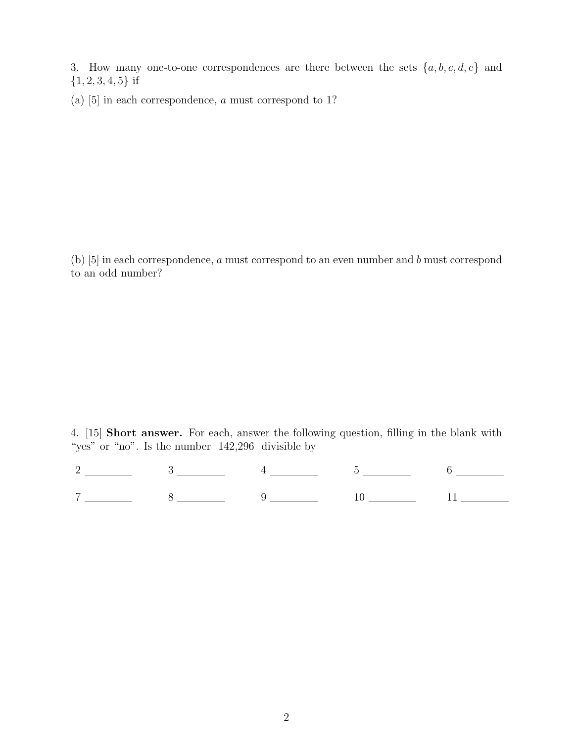3. How many one-to-one correspondences are there between the sets  $\{a, b, c, d, e\}$  and  ${1, 2, 3, 4, 5}$  if

(a) [5] in each correspondence, a must correspond to 1?

(b) [5] in each correspondence, a must correspond to an even number and b must correspond to an odd number?

4. [15] Short answer. For each, answer the following question, filling in the blank with "yes" or "no". Is the number  $142,296$  divisible by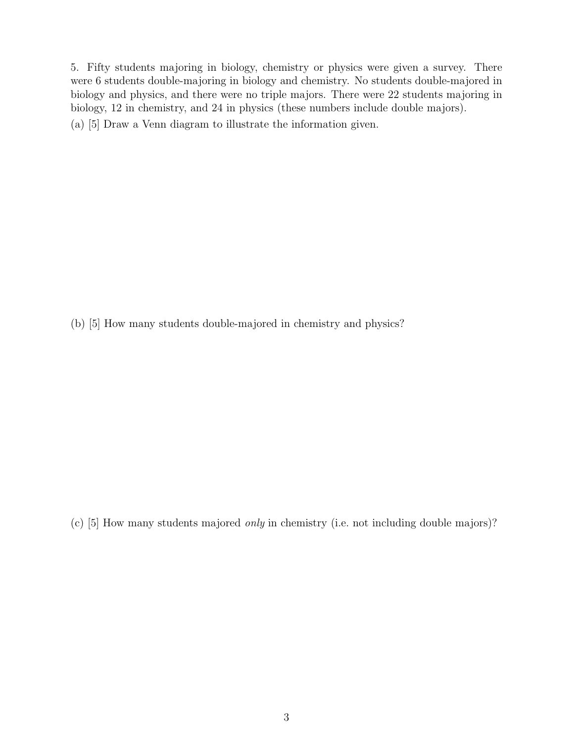5. Fifty students majoring in biology, chemistry or physics were given a survey. There were 6 students double-majoring in biology and chemistry. No students double-majored in biology and physics, and there were no triple majors. There were 22 students majoring in biology, 12 in chemistry, and 24 in physics (these numbers include double majors). (a) [5] Draw a Venn diagram to illustrate the information given.

(b) [5] How many students double-majored in chemistry and physics?

(c) [5] How many students majored only in chemistry (i.e. not including double majors)?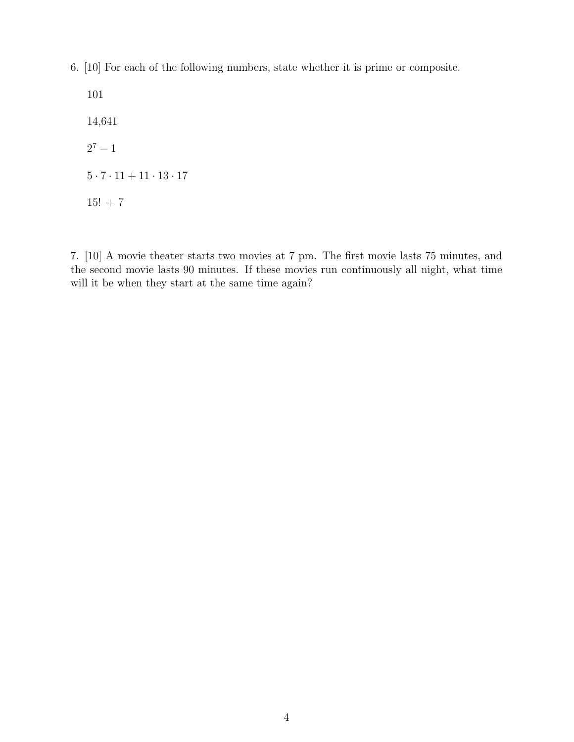6. [10] For each of the following numbers, state whether it is prime or composite.

101 14,641  $2^7 - 1$  $5\cdot 7\cdot 11 + 11\cdot 13\cdot 17$  $15! + 7$ 

7. [10] A movie theater starts two movies at 7 pm. The first movie lasts 75 minutes, and the second movie lasts 90 minutes. If these movies run continuously all night, what time will it be when they start at the same time again?